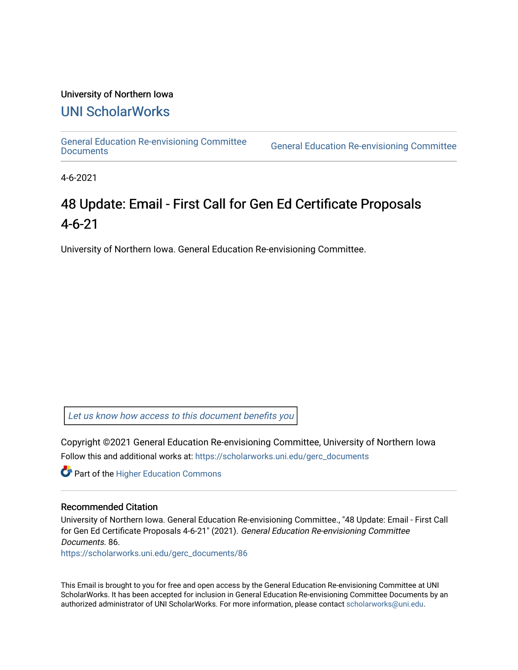#### University of Northern Iowa

### [UNI ScholarWorks](https://scholarworks.uni.edu/)

[General Education Re-envisioning Committee](https://scholarworks.uni.edu/gerc_documents) 

**General Education Re-envisioning Committee** 

4-6-2021

## 48 Update: Email - First Call for Gen Ed Certificate Proposals 4-6-21

University of Northern Iowa. General Education Re-envisioning Committee.

[Let us know how access to this document benefits you](https://scholarworks.uni.edu/feedback_form.html) 

Copyright ©2021 General Education Re-envisioning Committee, University of Northern Iowa Follow this and additional works at: [https://scholarworks.uni.edu/gerc\\_documents](https://scholarworks.uni.edu/gerc_documents?utm_source=scholarworks.uni.edu%2Fgerc_documents%2F86&utm_medium=PDF&utm_campaign=PDFCoverPages)

**Part of the Higher Education Commons** 

#### Recommended Citation

University of Northern Iowa. General Education Re-envisioning Committee., "48 Update: Email - First Call for Gen Ed Certificate Proposals 4-6-21" (2021). General Education Re-envisioning Committee Documents. 86.

[https://scholarworks.uni.edu/gerc\\_documents/86](https://scholarworks.uni.edu/gerc_documents/86?utm_source=scholarworks.uni.edu%2Fgerc_documents%2F86&utm_medium=PDF&utm_campaign=PDFCoverPages) 

This Email is brought to you for free and open access by the General Education Re-envisioning Committee at UNI ScholarWorks. It has been accepted for inclusion in General Education Re-envisioning Committee Documents by an authorized administrator of UNI ScholarWorks. For more information, please contact [scholarworks@uni.edu.](mailto:scholarworks@uni.edu)